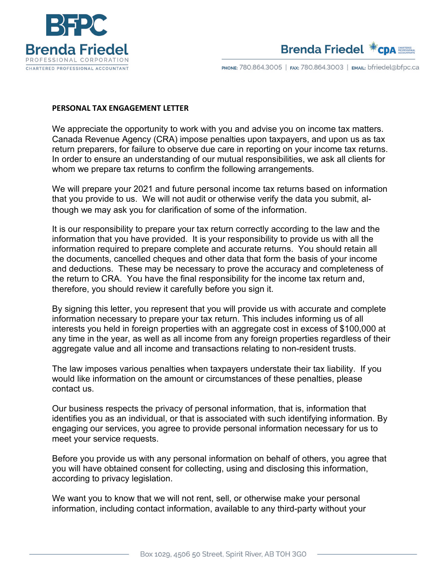



PHONE: 780.864.3005 | FAX: 780.864.3003 | EMAIL: bfriedel@bfpc.ca

## **PERSONAL TAX ENGAGEMENT LETTER**

We appreciate the opportunity to work with you and advise you on income tax matters. Canada Revenue Agency (CRA) impose penalties upon taxpayers, and upon us as tax return preparers, for failure to observe due care in reporting on your income tax returns. In order to ensure an understanding of our mutual responsibilities, we ask all clients for whom we prepare tax returns to confirm the following arrangements.

We will prepare your 2021 and future personal income tax returns based on information that you provide to us. We will not audit or otherwise verify the data you submit, although we may ask you for clarification of some of the information.

It is our responsibility to prepare your tax return correctly according to the law and the information that you have provided. It is your responsibility to provide us with all the information required to prepare complete and accurate returns. You should retain all the documents, cancelled cheques and other data that form the basis of your income and deductions. These may be necessary to prove the accuracy and completeness of the return to CRA. You have the final responsibility for the income tax return and, therefore, you should review it carefully before you sign it.

By signing this letter, you represent that you will provide us with accurate and complete information necessary to prepare your tax return. This includes informing us of all interests you held in foreign properties with an aggregate cost in excess of \$100,000 at any time in the year, as well as all income from any foreign properties regardless of their aggregate value and all income and transactions relating to non-resident trusts.

The law imposes various penalties when taxpayers understate their tax liability. If you would like information on the amount or circumstances of these penalties, please contact us.

Our business respects the privacy of personal information, that is, information that identifies you as an individual, or that is associated with such identifying information. By engaging our services, you agree to provide personal information necessary for us to meet your service requests.

Before you provide us with any personal information on behalf of others, you agree that you will have obtained consent for collecting, using and disclosing this information, according to privacy legislation.

We want you to know that we will not rent, sell, or otherwise make your personal information, including contact information, available to any third-party without your